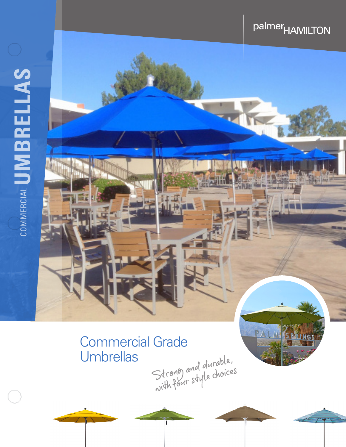# COMMERCIAL UMBRELLAS COMMERCIAL**UMBRELLAS**

## palmer<sub>HAMILTON</sub>

# Commercial Grade<br>Umbrellas<br>Strong and durable,<br>Strong and durable,<br>with four style choices **Umbrellas**